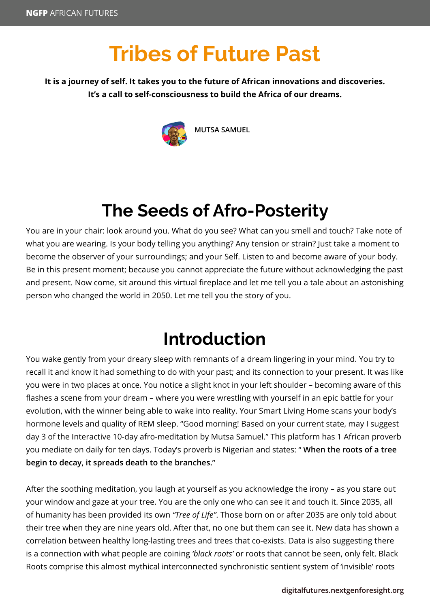# **Tribes of Future Past**

#### **It is a journey of self. It takes you to the future of African innovations and discoveries. It's a call to self-consciousness to build the Africa of our dreams.**



**MUTSA SAMUEL**

### **The Seeds of Afro-Posterity**

You are in your chair: look around you. What do you see? What can you smell and touch? Take note of what you are wearing. Is your body telling you anything? Any tension or strain? Just take a moment to become the observer of your surroundings; and your Self. Listen to and become aware of your body. Be in this present moment; because you cannot appreciate the future without acknowledging the past and present. Now come, sit around this virtual fireplace and let me tell you a tale about an astonishing person who changed the world in 2050. Let me tell you the story of you.

#### **Introduction**

You wake gently from your dreary sleep with remnants of a dream lingering in your mind. You try to recall it and know it had something to do with your past; and its connection to your present. It was like you were in two places at once. You notice a slight knot in your left shoulder – becoming aware of this flashes a scene from your dream – where you were wrestling with yourself in an epic battle for your evolution, with the winner being able to wake into reality. Your Smart Living Home scans your body's hormone levels and quality of REM sleep. "Good morning! Based on your current state, may I suggest day 3 of the Interactive 10-day afro-meditation by Mutsa Samuel." This platform has 1 African proverb you mediate on daily for ten days. Today's proverb is Nigerian and states: " **When the roots of a tree begin to decay, it spreads death to the branches."**

After the soothing meditation, you laugh at yourself as you acknowledge the irony – as you stare out your window and gaze at your tree. You are the only one who can see it and touch it. Since 2035, all of humanity has been provided its own *"Tree of Life"*. Those born on or after 2035 are only told about their tree when they are nine years old. After that, no one but them can see it. New data has shown a correlation between healthy long-lasting trees and trees that co-exists. Data is also suggesting there is a connection with what people are coining *'black roots'* or roots that cannot be seen, only felt. Black Roots comprise this almost mythical interconnected synchronistic sentient system of 'invisible' roots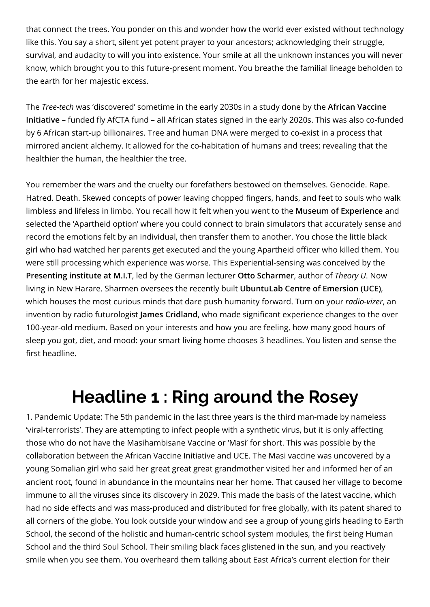that connect the trees. You ponder on this and wonder how the world ever existed without technology like this. You say a short, silent yet potent prayer to your ancestors; acknowledging their struggle, survival, and audacity to will you into existence. Your smile at all the unknown instances you will never know, which brought you to this future-present moment. You breathe the familial lineage beholden to the earth for her majestic excess.

The *Tree-tech* was 'discovered' sometime in the early 2030s in a study done by the **African Vaccine Initiative** – funded fly AfCTA fund – all African states signed in the early 2020s. This was also co-funded by 6 African start-up billionaires. Tree and human DNA were merged to co-exist in a process that mirrored ancient alchemy. It allowed for the co-habitation of humans and trees; revealing that the healthier the human, the healthier the tree.

You remember the wars and the cruelty our forefathers bestowed on themselves. Genocide. Rape. Hatred. Death. Skewed concepts of power leaving chopped fingers, hands, and feet to souls who walk limbless and lifeless in limbo. You recall how it felt when you went to the **Museum of Experience** and selected the 'Apartheid option' where you could connect to brain simulators that accurately sense and record the emotions felt by an individual, then transfer them to another. You chose the little black girl who had watched her parents get executed and the young Apartheid officer who killed them. You were still processing which experience was worse. This Experiential-sensing was conceived by the **Presenting institute at M.I.T**, led by the German lecturer **Otto Scharmer**, author of *Theory U*. Now living in New Harare. Sharmen oversees the recently built **UbuntuLab Centre of Emersion (UCE)**, which houses the most curious minds that dare push humanity forward. Turn on your *radio-vizer*, an invention by radio futurologist **James Cridland**, who made significant experience changes to the over 100-year-old medium. Based on your interests and how you are feeling, how many good hours of sleep you got, diet, and mood: your smart living home chooses 3 headlines. You listen and sense the first headline.

#### **Headline 1 : Ring around the Rosey**

1. Pandemic Update: The 5th pandemic in the last three years is the third man-made by nameless 'viral-terrorists'. They are attempting to infect people with a synthetic virus, but it is only affecting those who do not have the Masihambisane Vaccine or 'Masi' for short. This was possible by the collaboration between the African Vaccine Initiative and UCE. The Masi vaccine was uncovered by a young Somalian girl who said her great great great grandmother visited her and informed her of an ancient root, found in abundance in the mountains near her home. That caused her village to become immune to all the viruses since its discovery in 2029. This made the basis of the latest vaccine, which had no side effects and was mass-produced and distributed for free globally, with its patent shared to all corners of the globe. You look outside your window and see a group of young girls heading to Earth School, the second of the holistic and human-centric school system modules, the first being Human School and the third Soul School. Their smiling black faces glistened in the sun, and you reactively smile when you see them. You overheard them talking about East Africa's current election for their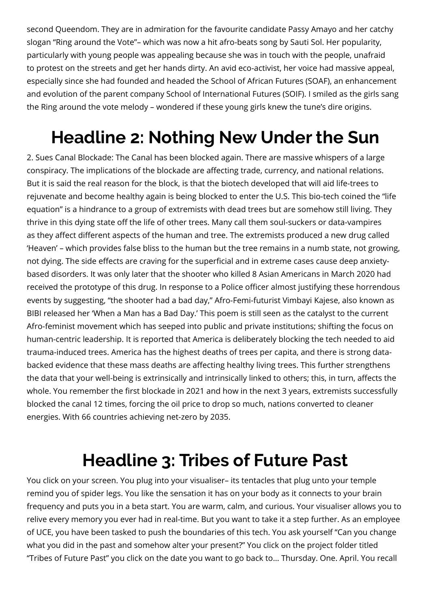second Queendom. They are in admiration for the favourite candidate Passy Amayo and her catchy slogan "Ring around the Vote"– which was now a hit afro-beats song by Sauti Sol. Her popularity, particularly with young people was appealing because she was in touch with the people, unafraid to protest on the streets and get her hands dirty. An avid eco-activist, her voice had massive appeal, especially since she had founded and headed the School of African Futures (SOAF), an enhancement and evolution of the parent company School of International Futures (SOIF). I smiled as the girls sang the Ring around the vote melody – wondered if these young girls knew the tune's dire origins.

## **Headline 2: Nothing New Under the Sun**

2. Sues Canal Blockade: The Canal has been blocked again. There are massive whispers of a large conspiracy. The implications of the blockade are affecting trade, currency, and national relations. But it is said the real reason for the block, is that the biotech developed that will aid life-trees to rejuvenate and become healthy again is being blocked to enter the U.S. This bio-tech coined the "life equation" is a hindrance to a group of extremists with dead trees but are somehow still living. They thrive in this dying state off the life of other trees. Many call them soul-suckers or data-vampires as they affect different aspects of the human and tree. The extremists produced a new drug called 'Heaven' – which provides false bliss to the human but the tree remains in a numb state, not growing, not dying. The side effects are craving for the superficial and in extreme cases cause deep anxietybased disorders. It was only later that the shooter who killed 8 Asian Americans in March 2020 had received the prototype of this drug. In response to a Police officer almost justifying these horrendous events by suggesting, "the shooter had a bad day," Afro-Femi-futurist Vimbayi Kajese, also known as BIBI released her 'When a Man has a Bad Day.' This poem is still seen as the catalyst to the current Afro-feminist movement which has seeped into public and private institutions; shifting the focus on human-centric leadership. It is reported that America is deliberately blocking the tech needed to aid trauma-induced trees. America has the highest deaths of trees per capita, and there is strong databacked evidence that these mass deaths are affecting healthy living trees. This further strengthens the data that your well-being is extrinsically and intrinsically linked to others; this, in turn, affects the whole. You remember the first blockade in 2021 and how in the next 3 years, extremists successfully blocked the canal 12 times, forcing the oil price to drop so much, nations converted to cleaner energies. With 66 countries achieving net-zero by 2035.

#### **Headline 3: Tribes of Future Past**

You click on your screen. You plug into your visualiser– its tentacles that plug unto your temple remind you of spider legs. You like the sensation it has on your body as it connects to your brain frequency and puts you in a beta start. You are warm, calm, and curious. Your visualiser allows you to relive every memory you ever had in real-time. But you want to take it a step further. As an employee of UCE, you have been tasked to push the boundaries of this tech. You ask yourself "Can you change what you did in the past and somehow alter your present?" You click on the project folder titled "Tribes of Future Past" you click on the date you want to go back to… Thursday. One. April. You recall